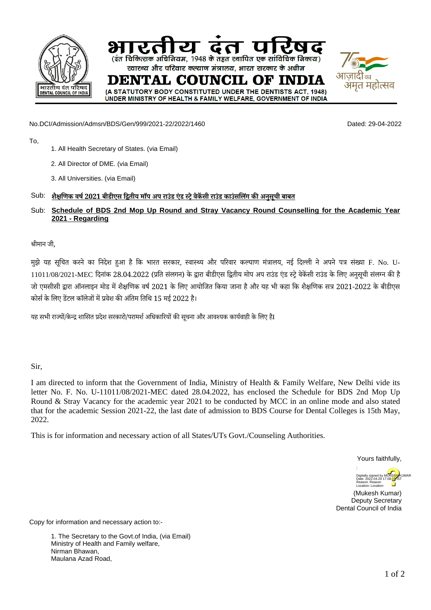

No.DCI/Admission/Admsn/BDS/Gen/999/2021-22/2022/1460 Dated: 29-04-2022

#### To,

- 1. All Health Secretary of States. (via Email)
- 2. All Director of DME. (via Email)
- 3. All Universities. (via Email)

## Sub: **शैक्षणिक वर्ष 2021 बीडीएस द्वितीय मॉप अप राउंड एंड स्ट्रे वेकेंसी राउंड काउंसलिंग की अनुसूची बाबत**

# Sub: **Schedule of BDS 2nd Mop Up Round and Stray Vacancy Round Counselling for the Academic Year 2021 - Regarding**

### श्रीमान जी,

मुझे यह सूचित करने का निदेश हुआ है कि भारत सरकार, स्वास्थ्य और परिवार कल्याण मंत्रालय, नई दिल्ली नेअपने पत्र संख्या F. No. U-11011/08/2021-MEC दिनांक 28.04.2022 (प्रति संलगन) के द्वारा बीडीएस द्वितीय मोप अप राउंड एंड स्ट्रे वेकेंसी राउंड केलिए अनुसूची संलग्न की है जो एमसीसी द्वारा ऑनलाइन मोड मेंशैक्षणिक वर्ष2021 के लिए आयोजित किया जाना हैऔर यह भी कहा कि शैक्षणिक सत्र 2021-2022 के बीडीएस कोर्स केलिए डेंटल कॉलेजों मेंप्रवेश की अंतिम तिथि 15 मई 2022 ह।ै

यह सभी राज्यों/केन्द्र शासित प्रदेश सरकारो/परामर्श अधिकारियों की सचना और आवश्यक कार्यवाही के लिए हैI

### Sir,

I am directed to inform that the Government of India, Ministry of Health & Family Welfare, New Delhi vide its letter No. F. No. U-11011/08/2021-MEC dated 28.04.2022, has enclosed the Schedule for BDS 2nd Mop Up Round & Stray Vacancy for the academic year 2021 to be conducted by MCC in an online mode and also stated that for the academic Session 2021-22, the last date of admission to BDS Course for Dental Colleges is 15th May, 2022.

This is for information and necessary action of all States/UTs Govt./Counseling Authorities.

Yours faithfully,



(Mukesh Kumar) Deputy Secretary Dental Council of India

Copy for information and necessary action to:-

1. The Secretary to the Govt.of India, (via Email) Ministry of Health and Family welfare, Nirman Bhawan, Maulana Azad Road,